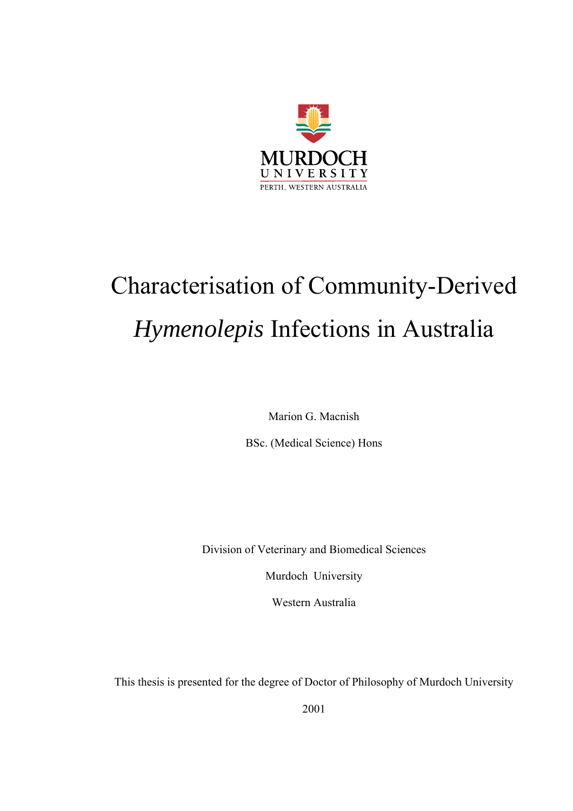

# Characterisation of Community-Derived *Hymenolepis* Infections in Australia

Marion G. Macnish

BSc. (Medical Science) Hons

Division of Veterinary and Biomedical Sciences

Murdoch University

Western Australia

This thesis is presented for the degree of Doctor of Philosophy of Murdoch University

2001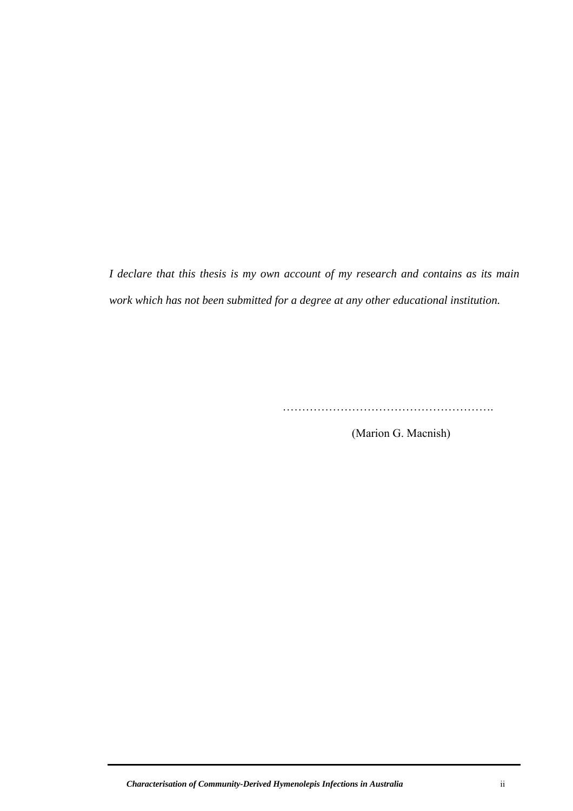*I declare that this thesis is my own account of my research and contains as its main work which has not been submitted for a degree at any other educational institution.* 

……………………………………………….

(Marion G. Macnish)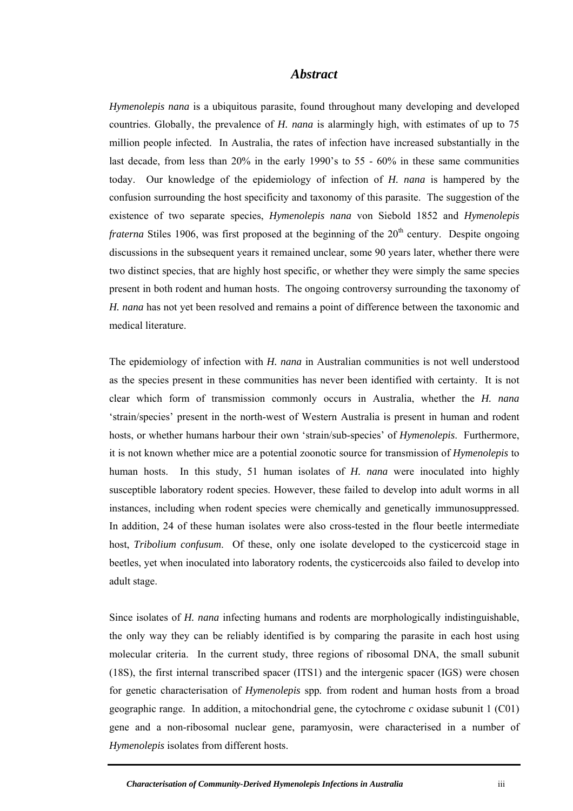#### *Abstract*

<span id="page-2-0"></span>*Hymenolepis nana* is a ubiquitous parasite, found throughout many developing and developed countries. Globally, the prevalence of *H. nana* is alarmingly high, with estimates of up to 75 million people infected. In Australia, the rates of infection have increased substantially in the last decade, from less than 20% in the early 1990's to 55 - 60% in these same communities today. Our knowledge of the epidemiology of infection of *H. nana* is hampered by the confusion surrounding the host specificity and taxonomy of this parasite. The suggestion of the existence of two separate species, *Hymenolepis nana* von Siebold 1852 and *Hymenolepis fraterna* Stiles 1906, was first proposed at the beginning of the 20<sup>th</sup> century. Despite ongoing discussions in the subsequent years it remained unclear, some 90 years later, whether there were two distinct species, that are highly host specific, or whether they were simply the same species present in both rodent and human hosts. The ongoing controversy surrounding the taxonomy of *H. nana* has not yet been resolved and remains a point of difference between the taxonomic and medical literature.

The epidemiology of infection with *H. nana* in Australian communities is not well understood as the species present in these communities has never been identified with certainty. It is not clear which form of transmission commonly occurs in Australia, whether the *H. nana* 'strain/species' present in the north-west of Western Australia is present in human and rodent hosts, or whether humans harbour their own 'strain/sub-species' of *Hymenolepis*. Furthermore, it is not known whether mice are a potential zoonotic source for transmission of *Hymenolepis* to human hosts. In this study, 51 human isolates of *H. nana* were inoculated into highly susceptible laboratory rodent species. However, these failed to develop into adult worms in all instances, including when rodent species were chemically and genetically immunosuppressed. In addition, 24 of these human isolates were also cross-tested in the flour beetle intermediate host, *Tribolium confusum*. Of these, only one isolate developed to the cysticercoid stage in beetles, yet when inoculated into laboratory rodents, the cysticercoids also failed to develop into adult stage.

Since isolates of *H. nana* infecting humans and rodents are morphologically indistinguishable, the only way they can be reliably identified is by comparing the parasite in each host using molecular criteria. In the current study, three regions of ribosomal DNA, the small subunit (18S), the first internal transcribed spacer (ITS1) and the intergenic spacer (IGS) were chosen for genetic characterisation of *Hymenolepis* spp*.* from rodent and human hosts from a broad geographic range. In addition, a mitochondrial gene, the cytochrome *c* oxidase subunit 1 (C01) gene and a non-ribosomal nuclear gene, paramyosin, were characterised in a number of *Hymenolepis* isolates from different hosts.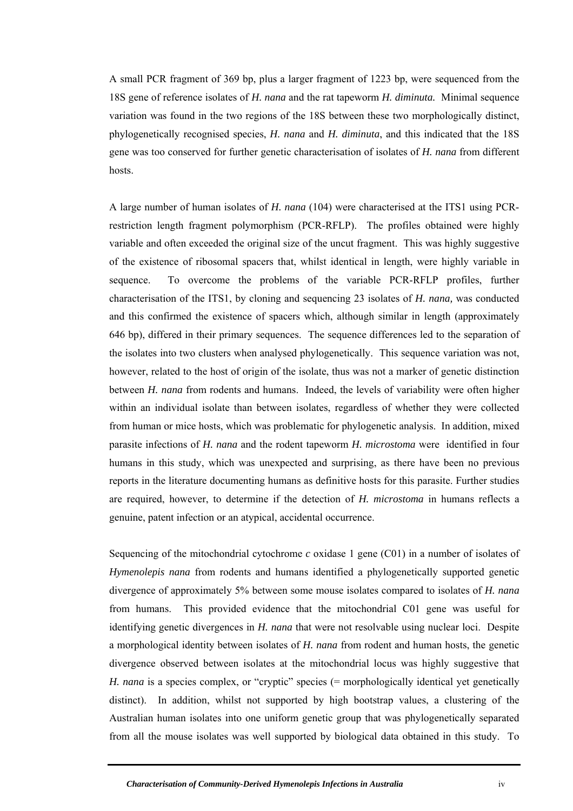A small PCR fragment of 369 bp, plus a larger fragment of 1223 bp, were sequenced from the 18S gene of reference isolates of *H. nana* and the rat tapeworm *H. diminuta.* Minimal sequence variation was found in the two regions of the 18S between these two morphologically distinct, phylogenetically recognised species, *H. nana* and *H. diminuta*, and this indicated that the 18S gene was too conserved for further genetic characterisation of isolates of *H. nana* from different hosts.

A large number of human isolates of *H. nana* (104) were characterised at the ITS1 using PCRrestriction length fragment polymorphism (PCR-RFLP). The profiles obtained were highly variable and often exceeded the original size of the uncut fragment. This was highly suggestive of the existence of ribosomal spacers that, whilst identical in length, were highly variable in sequence. To overcome the problems of the variable PCR-RFLP profiles, further characterisation of the ITS1, by cloning and sequencing 23 isolates of *H. nana,* was conducted and this confirmed the existence of spacers which, although similar in length (approximately 646 bp), differed in their primary sequences. The sequence differences led to the separation of the isolates into two clusters when analysed phylogenetically. This sequence variation was not, however, related to the host of origin of the isolate, thus was not a marker of genetic distinction between *H. nana* from rodents and humans. Indeed, the levels of variability were often higher within an individual isolate than between isolates, regardless of whether they were collected from human or mice hosts, which was problematic for phylogenetic analysis. In addition, mixed parasite infections of *H. nana* and the rodent tapeworm *H. microstoma* were identified in four humans in this study, which was unexpected and surprising, as there have been no previous reports in the literature documenting humans as definitive hosts for this parasite. Further studies are required, however, to determine if the detection of *H. microstoma* in humans reflects a genuine, patent infection or an atypical, accidental occurrence.

Sequencing of the mitochondrial cytochrome *c* oxidase 1 gene (C01) in a number of isolates of *Hymenolepis nana* from rodents and humans identified a phylogenetically supported genetic divergence of approximately 5% between some mouse isolates compared to isolates of *H. nana* from humans. This provided evidence that the mitochondrial C01 gene was useful for identifying genetic divergences in *H. nana* that were not resolvable using nuclear loci. Despite a morphological identity between isolates of *H. nana* from rodent and human hosts, the genetic divergence observed between isolates at the mitochondrial locus was highly suggestive that *H. nana* is a species complex, or "cryptic" species (= morphologically identical yet genetically distinct). In addition, whilst not supported by high bootstrap values, a clustering of the Australian human isolates into one uniform genetic group that was phylogenetically separated from all the mouse isolates was well supported by biological data obtained in this study. To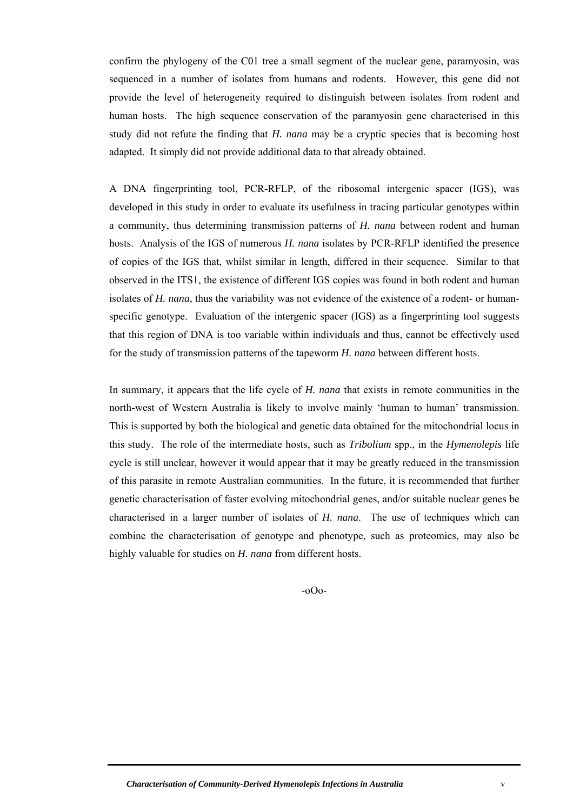confirm the phylogeny of the C01 tree a small segment of the nuclear gene, paramyosin, was sequenced in a number of isolates from humans and rodents. However, this gene did not provide the level of heterogeneity required to distinguish between isolates from rodent and human hosts. The high sequence conservation of the paramyosin gene characterised in this study did not refute the finding that *H. nana* may be a cryptic species that is becoming host adapted. It simply did not provide additional data to that already obtained.

A DNA fingerprinting tool, PCR-RFLP, of the ribosomal intergenic spacer (IGS), was developed in this study in order to evaluate its usefulness in tracing particular genotypes within a community, thus determining transmission patterns of *H. nana* between rodent and human hosts. Analysis of the IGS of numerous *H. nana* isolates by PCR-RFLP identified the presence of copies of the IGS that, whilst similar in length, differed in their sequence. Similar to that observed in the ITS1, the existence of different IGS copies was found in both rodent and human isolates of *H. nana*, thus the variability was not evidence of the existence of a rodent- or humanspecific genotype. Evaluation of the intergenic spacer (IGS) as a fingerprinting tool suggests that this region of DNA is too variable within individuals and thus, cannot be effectively used for the study of transmission patterns of the tapeworm *H. nana* between different hosts.

In summary, it appears that the life cycle of *H. nana* that exists in remote communities in the north-west of Western Australia is likely to involve mainly 'human to human' transmission. This is supported by both the biological and genetic data obtained for the mitochondrial locus in this study. The role of the intermediate hosts, such as *Tribolium* spp., in the *Hymenolepis* life cycle is still unclear, however it would appear that it may be greatly reduced in the transmission of this parasite in remote Australian communities. In the future, it is recommended that further genetic characterisation of faster evolving mitochondrial genes, and/or suitable nuclear genes be characterised in a larger number of isolates of *H. nana*. The use of techniques which can combine the characterisation of genotype and phenotype, such as proteomics, may also be highly valuable for studies on *H. nana* from different hosts.

-oOo-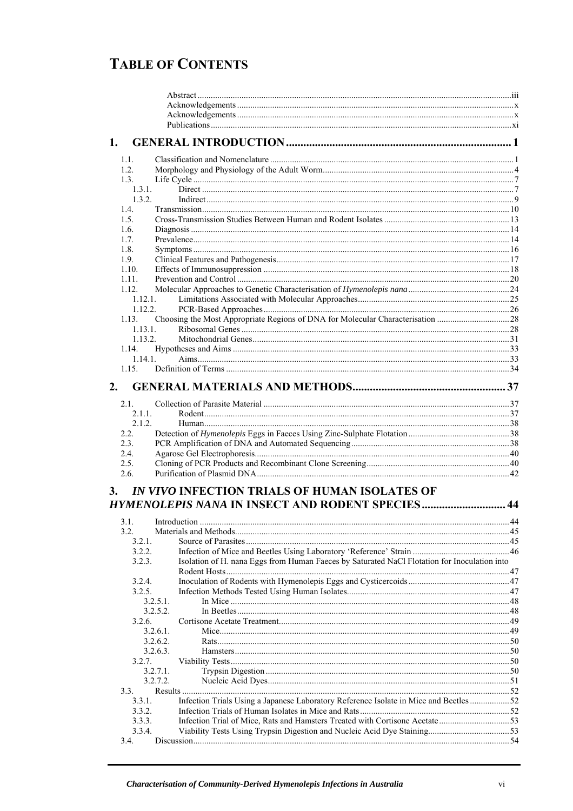## **TABLE OF CONTENTS**

| 1.           |                                                                                              |    |
|--------------|----------------------------------------------------------------------------------------------|----|
| 1.1.         |                                                                                              |    |
| 1.2.         |                                                                                              |    |
| 1.3.         |                                                                                              |    |
| 1.3.1.       |                                                                                              |    |
| 1.3.2.       |                                                                                              |    |
| 1.4.         |                                                                                              |    |
| 1.5.         |                                                                                              |    |
| 1.6.         |                                                                                              |    |
| 1.7.         |                                                                                              |    |
| 1.8.<br>1.9. |                                                                                              |    |
| 1.10.        |                                                                                              |    |
| 1.11.        |                                                                                              |    |
| 1.12.        |                                                                                              |    |
| 1.12.1.      |                                                                                              |    |
| 1.12.2.      |                                                                                              |    |
|              |                                                                                              |    |
| 1.13.1.      |                                                                                              |    |
| 1.13.2.      |                                                                                              |    |
| 1.14.        |                                                                                              |    |
| 1.14.1.      |                                                                                              |    |
| 1.15.        |                                                                                              |    |
| 2.           |                                                                                              |    |
| 2.1.         |                                                                                              |    |
| 2.1.1.       |                                                                                              |    |
| 2.1.2.       |                                                                                              |    |
| 2.2.         |                                                                                              |    |
| 2.3.         |                                                                                              |    |
| 2.4.         |                                                                                              |    |
| 2.5.<br>2.6. |                                                                                              |    |
| 3.           | IN VIVO INFECTION TRIALS OF HUMAN ISOLATES OF                                                |    |
|              |                                                                                              | 44 |
|              | 3.1 Introduction                                                                             | 44 |
| 3.2.         |                                                                                              |    |
| 3.2.1.       |                                                                                              |    |
| 3.2.2.       |                                                                                              |    |
| 3.2.3.       | Isolation of H. nana Eggs from Human Faeces by Saturated NaCl Flotation for Inoculation into |    |
|              |                                                                                              |    |
| 3.2.4.       |                                                                                              |    |
| 3.2.5.       |                                                                                              |    |
|              | 3.2.5.1.                                                                                     |    |
|              | 3.2.5.2.                                                                                     |    |
| 3.2.6.       | 3.2.6.1                                                                                      |    |
|              | 3.2.6.2.                                                                                     |    |
|              | 3.2.6.3.                                                                                     |    |
| 3.2.7.       |                                                                                              |    |
|              | $3.2.7.1$ .                                                                                  |    |
|              | 3.2.7.2.                                                                                     |    |
| 3.3.         |                                                                                              |    |
| 3.3.1.       | Infection Trials Using a Japanese Laboratory Reference Isolate in Mice and Beetles  52       |    |
| 3.3.2.       |                                                                                              |    |
| 3.3.3.       |                                                                                              |    |
| 3.3.4.       |                                                                                              |    |
| 3.4.         |                                                                                              |    |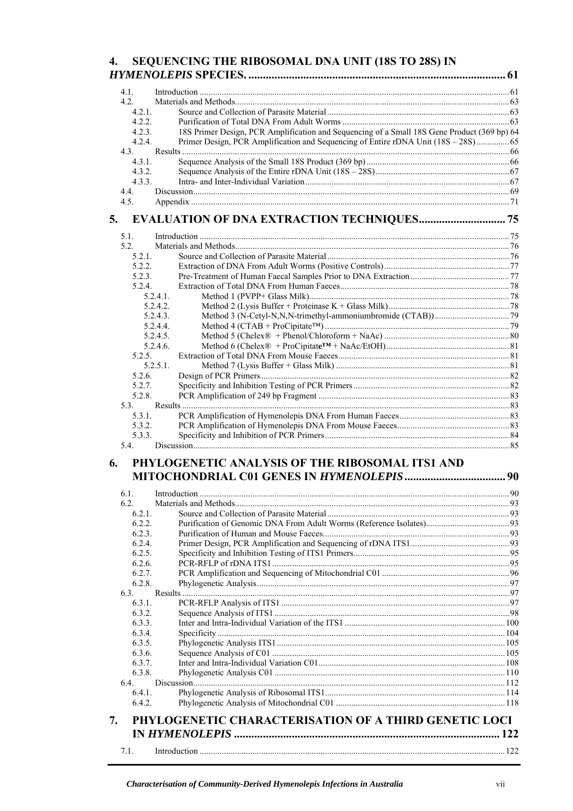#### SEQUENCING THE RIBOSOMAL DNA UNIT (18S TO 28S) IN 4.

|    | $4.1$ .        |                                                                                             |  |
|----|----------------|---------------------------------------------------------------------------------------------|--|
|    | 4.2.           |                                                                                             |  |
|    | $4.2.1$ .      |                                                                                             |  |
|    | 4.2.2.         |                                                                                             |  |
|    | 4.2.3.         | 18S Primer Design, PCR Amplification and Sequencing of a Small 18S Gene Product (369 bp) 64 |  |
|    | 4.2.4.         | Primer Design, PCR Amplification and Sequencing of Entire rDNA Unit (18S - 28S)65           |  |
|    | 4.3.           |                                                                                             |  |
|    | 4.3.1.         |                                                                                             |  |
|    | 4.3.2.         |                                                                                             |  |
|    | 4.3.3.         |                                                                                             |  |
|    | 4.4.           |                                                                                             |  |
|    | 4.5.           |                                                                                             |  |
| 5. |                | <b>EVALUATION OF DNA EXTRACTION TECHNIQUES 75</b>                                           |  |
|    | 5.1.           |                                                                                             |  |
|    | 5.2            |                                                                                             |  |
|    | 5.2.1.         |                                                                                             |  |
|    | 5.2.2.         |                                                                                             |  |
|    | 5.2.3.         |                                                                                             |  |
|    | 5.2.4          |                                                                                             |  |
|    |                | $5.2.4.1$ .                                                                                 |  |
|    |                | 5.2.4.2.                                                                                    |  |
|    |                | 5.2.4.3.                                                                                    |  |
|    |                | 5.2.4.4                                                                                     |  |
|    |                | 5.2.4.5                                                                                     |  |
|    |                | 5.2.4.6.                                                                                    |  |
|    | 5.2.5.         |                                                                                             |  |
|    |                | $5.2.5.1$ .                                                                                 |  |
|    | 5.2.6.         |                                                                                             |  |
|    | 5.2.7.         |                                                                                             |  |
|    | 5.2.8.         |                                                                                             |  |
|    | 5.3.<br>5.3.1. |                                                                                             |  |
|    | 5.3.2.         |                                                                                             |  |
|    | 5.3.3.         |                                                                                             |  |
|    | 5.4.           |                                                                                             |  |
| 6. |                | PHYLOGENETIC ANALYSIS OF THE RIBOSOMAL ITS1 AND                                             |  |
|    |                |                                                                                             |  |
|    |                |                                                                                             |  |
|    | 6.1.           |                                                                                             |  |
|    | 6.2.<br>6.2.1. |                                                                                             |  |
|    | 6.2.2.         |                                                                                             |  |
|    | 6.2.3.         |                                                                                             |  |
|    | 6.2.4.         |                                                                                             |  |
|    | 6.2.5.         |                                                                                             |  |
|    | 6.2.6.         |                                                                                             |  |
|    | 6.2.7.         |                                                                                             |  |
|    | 6.2.8.         |                                                                                             |  |
|    | 6.3.           |                                                                                             |  |
|    | 6.3.1.         |                                                                                             |  |
|    | 6.3.2.         |                                                                                             |  |
|    | 6.3.3.         |                                                                                             |  |
|    | 6.3.4.         |                                                                                             |  |
|    | 6.3.5.         |                                                                                             |  |
|    | 6.3.6.         |                                                                                             |  |
|    | 6.3.7.         |                                                                                             |  |
|    | 6.3.8.         |                                                                                             |  |
|    | 6.4.           |                                                                                             |  |
|    | 6.4.1.         |                                                                                             |  |
|    | 6.4.2.         |                                                                                             |  |
| 7. |                | PHYLOGENETIC CHARACTERISATION OF A THIRD GENETIC LOCI                                       |  |
|    |                |                                                                                             |  |
|    | 7.1.           |                                                                                             |  |
|    |                |                                                                                             |  |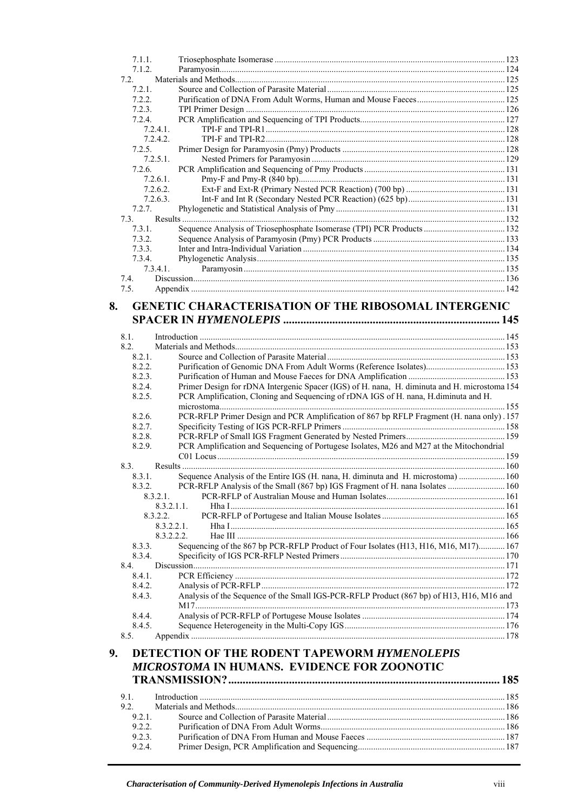| 7.1.1.   |  |
|----------|--|
| 7.1.2.   |  |
| 7.2      |  |
| 7.2.1.   |  |
| 7.2.2.   |  |
| 7.2.3.   |  |
| 7.2.4    |  |
| 7.2.4.1  |  |
| 7.2.4.2  |  |
| 725      |  |
| 7.2.5.1  |  |
| 7.2.6.   |  |
| 7.2.6.1  |  |
| 7.2.6.2. |  |
| 7.2.6.3. |  |
| 7.2.7.   |  |
| 7.3.     |  |
| 7.3.1.   |  |
| 7.3.2.   |  |
| 7.3.3    |  |
| 7.3.4.   |  |
| 7.3.4.1. |  |
| 7.4.     |  |
| 7.5.     |  |

#### **8. GENETIC CHARACTERISATION OF THE RIBOSOMAL INTERGENIC SPACER IN** *HYMENOLEPIS* **........................................................................... 145**

| 8.1<br>8.2.      |                                                                                              |      |
|------------------|----------------------------------------------------------------------------------------------|------|
| 8.2.1            |                                                                                              |      |
| 8.2.2            |                                                                                              |      |
| 8.2.3.           | Purification of Genomic DNA From Adult Worms (Reference Isolates) 153                        |      |
|                  |                                                                                              |      |
| 8.2.4.<br>8.2.5. | Primer Design for rDNA Intergenic Spacer (IGS) of H. nana, H. diminuta and H. microstoma 154 |      |
|                  | PCR Amplification, Cloning and Sequencing of rDNA IGS of H. nana, H. diminuta and H.         |      |
| 8.2.6            | PCR-RFLP Primer Design and PCR Amplification of 867 bp RFLP Fragment (H. nana only). 157     |      |
|                  |                                                                                              |      |
| 8.2.7.           |                                                                                              |      |
| 8.2.8.           |                                                                                              |      |
| 8.2.9.           | PCR Amplification and Sequencing of Portugese Isolates, M26 and M27 at the Mitochondrial     |      |
| 8.3.             |                                                                                              |      |
| 8.3.1.           |                                                                                              |      |
| 8.3.2            | Sequence Analysis of the Entire IGS (H. nana, H. diminuta and H. microstoma)  160            |      |
|                  | $8.3.2.1$ .                                                                                  |      |
|                  | 8.3.2.1.1                                                                                    |      |
|                  | 8.3.2.2.                                                                                     |      |
|                  |                                                                                              |      |
|                  | 8.3.2.2.1<br>8.3.2.2.2                                                                       |      |
| 8.3.3.           |                                                                                              |      |
| 8.3.4            | Sequencing of the 867 bp PCR-RFLP Product of Four Isolates (H13, H16, M16, M17) 167          |      |
| 84               |                                                                                              |      |
| 8.4.1            |                                                                                              |      |
| 8.4.2.           |                                                                                              |      |
| 8.4.3.           |                                                                                              |      |
|                  | Analysis of the Sequence of the Small IGS-PCR-RFLP Product (867 bp) of H13, H16, M16 and     |      |
|                  |                                                                                              |      |
| 8.4.4.           |                                                                                              |      |
| 8.4.5.<br>8.5.   |                                                                                              |      |
|                  |                                                                                              |      |
| 9.               | DETECTION OF THE RODENT TAPEWORM HYMENOLEPIS<br>MICROSTOMA IN HUMANS. EVIDENCE FOR ZOONOTIC  | .185 |

| 921   |  |
|-------|--|
| 922   |  |
| 923   |  |
| 9.2.4 |  |
|       |  |
|       |  |

9.1. Introduction ...........................................................................................................................................185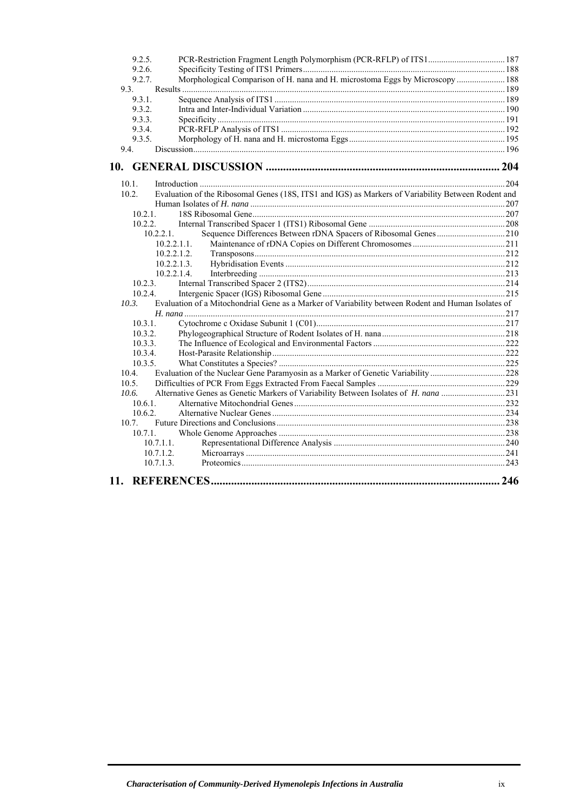| 9.2.5.             | PCR-Restriction Fragment Length Polymorphism (PCR-RFLP) of ITS1 187                                |     |
|--------------------|----------------------------------------------------------------------------------------------------|-----|
| 9.2.6.             |                                                                                                    |     |
| 9.2.7.             | Morphological Comparison of H. nana and H. microstoma Eggs by Microscopy  188                      |     |
| 9.3.               |                                                                                                    |     |
| 9.3.1.             |                                                                                                    |     |
| 9.3.2.             |                                                                                                    |     |
| 9.3.3.             |                                                                                                    |     |
| 9.3.4.             |                                                                                                    |     |
| 9.3.5.<br>9.4.     |                                                                                                    |     |
|                    |                                                                                                    |     |
|                    |                                                                                                    |     |
| 10.1.              |                                                                                                    |     |
| 10.2.              | Evaluation of the Ribosomal Genes (18S, ITS1 and IGS) as Markers of Variability Between Rodent and |     |
|                    |                                                                                                    |     |
| 10.2.1             |                                                                                                    |     |
|                    | 10.2.2                                                                                             |     |
|                    | 10.2.2.1.                                                                                          |     |
|                    | 10.2.2.1.1.                                                                                        |     |
|                    | 10.2.2.1.2.                                                                                        |     |
|                    | 10.2.2.1.3.                                                                                        |     |
|                    | 10.2.2.1.4                                                                                         |     |
| 10.2.3.            |                                                                                                    |     |
| 10.2.4.            |                                                                                                    |     |
| 10.3.              | Evaluation of a Mitochondrial Gene as a Marker of Variability between Rodent and Human Isolates of |     |
|                    |                                                                                                    |     |
| 10.3.1.            |                                                                                                    |     |
| 10.3.2.<br>10.3.3. |                                                                                                    |     |
| 10.3.4.            |                                                                                                    |     |
| 10.3.5.            |                                                                                                    |     |
| 10.4.              | Evaluation of the Nuclear Gene Paramyosin as a Marker of Genetic Variability 228                   |     |
| 10.5.              |                                                                                                    |     |
| 10.6.              |                                                                                                    |     |
| 1061               |                                                                                                    |     |
| 10.6.2.            |                                                                                                    |     |
| 10.7               |                                                                                                    |     |
| 10.7.1             |                                                                                                    |     |
|                    | 10.7.1.1.                                                                                          |     |
|                    | 10.7.1.2.                                                                                          |     |
|                    | 10.7.1.3.                                                                                          |     |
|                    |                                                                                                    | 246 |
|                    |                                                                                                    |     |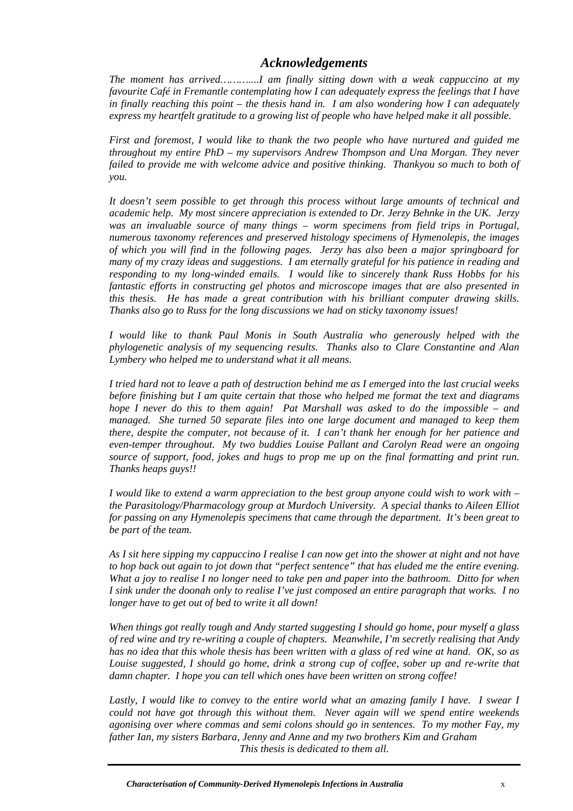### *Acknowledgements*

<span id="page-9-0"></span>*The moment has arrived………....I am finally sitting down with a weak cappuccino at my favourite Café in Fremantle contemplating how I can adequately express the feelings that I have in finally reaching this point – the thesis hand in. I am also wondering how I can adequately express my heartfelt gratitude to a growing list of people who have helped make it all possible.*

*First and foremost, I would like to thank the two people who have nurtured and guided me throughout my entire PhD – my supervisors Andrew Thompson and Una Morgan. They never failed to provide me with welcome advice and positive thinking. Thankyou so much to both of you.* 

*It doesn't seem possible to get through this process without large amounts of technical and academic help. My most sincere appreciation is extended to Dr. Jerzy Behnke in the UK. Jerzy was an invaluable source of many things – worm specimens from field trips in Portugal, numerous taxonomy references and preserved histology specimens of Hymenolepis, the images of which you will find in the following pages. Jerzy has also been a major springboard for many of my crazy ideas and suggestions. I am eternally grateful for his patience in reading and responding to my long-winded emails. I would like to sincerely thank Russ Hobbs for his fantastic efforts in constructing gel photos and microscope images that are also presented in this thesis. He has made a great contribution with his brilliant computer drawing skills. Thanks also go to Russ for the long discussions we had on sticky taxonomy issues!*

*I would like to thank Paul Monis in South Australia who generously helped with the phylogenetic analysis of my sequencing results. Thanks also to Clare Constantine and Alan Lymbery who helped me to understand what it all means.* 

*I tried hard not to leave a path of destruction behind me as I emerged into the last crucial weeks before finishing but I am quite certain that those who helped me format the text and diagrams hope I never do this to them again! Pat Marshall was asked to do the impossible – and managed. She turned 50 separate files into one large document and managed to keep them there, despite the computer, not because of it. I can't thank her enough for her patience and even-temper throughout. My two buddies Louise Pallant and Carolyn Read were an ongoing source of support, food, jokes and hugs to prop me up on the final formatting and print run. Thanks heaps guys!!* 

*I would like to extend a warm appreciation to the best group anyone could wish to work with – the Parasitology/Pharmacology group at Murdoch University. A special thanks to Aileen Elliot for passing on any Hymenolepis specimens that came through the department. It's been great to be part of the team.* 

*As I sit here sipping my cappuccino I realise I can now get into the shower at night and not have to hop back out again to jot down that "perfect sentence" that has eluded me the entire evening. What a joy to realise I no longer need to take pen and paper into the bathroom. Ditto for when I sink under the doonah only to realise I've just composed an entire paragraph that works. I no longer have to get out of bed to write it all down!* 

*When things got really tough and Andy started suggesting I should go home, pour myself a glass of red wine and try re-writing a couple of chapters. Meanwhile, I'm secretly realising that Andy has no idea that this whole thesis has been written with a glass of red wine at hand. OK, so as Louise suggested, I should go home, drink a strong cup of coffee, sober up and re-write that damn chapter. I hope you can tell which ones have been written on strong coffee!* 

Lastly, I would like to convey to the entire world what an amazing family I have. I swear I *could not have got through this without them. Never again will we spend entire weekends agonising over where commas and semi colons should go in sentences. To my mother Fay, my father Ian, my sisters Barbara, Jenny and Anne and my two brothers Kim and Graham This thesis is dedicated to them all.*